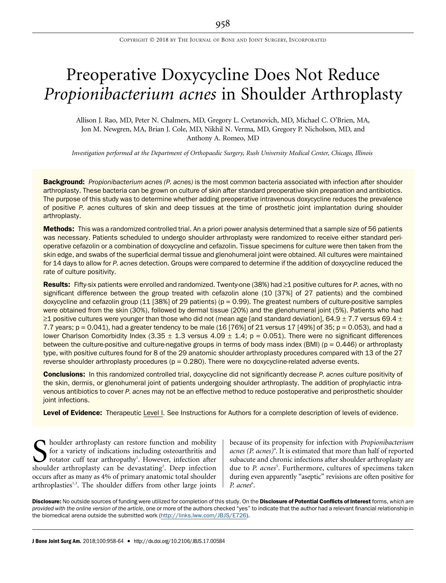# Preoperative Doxycycline Does Not Reduce Propionibacterium acnes in Shoulder Arthroplasty

Allison J. Rao, MD, Peter N. Chalmers, MD, Gregory L. Cvetanovich, MD, Michael C. O'Brien, MA, Jon M. Newgren, MA, Brian J. Cole, MD, Nikhil N. Verma, MD, Gregory P. Nicholson, MD, and Anthony A. Romeo, MD

Investigation performed at the Department of Orthopaedic Surgery, Rush University Medical Center, Chicago, Illinois

**Background:** Propionibacterium acnes (P. acnes) is the most common bacteria associated with infection after shoulder arthroplasty. These bacteria can be grown on culture of skin after standard preoperative skin preparation and antibiotics. The purpose of this study was to determine whether adding preoperative intravenous doxycycline reduces the prevalence of positive P. acnes cultures of skin and deep tissues at the time of prosthetic joint implantation during shoulder arthroplasty.

Methods: This was a randomized controlled trial. An a priori power analysis determined that a sample size of 56 patients was necessary. Patients scheduled to undergo shoulder arthroplasty were randomized to receive either standard perioperative cefazolin or a combination of doxycycline and cefazolin. Tissue specimens for culture were then taken from the skin edge, and swabs of the superficial dermal tissue and glenohumeral joint were obtained. All cultures were maintained for 14 days to allow for P. acnes detection. Groups were compared to determine if the addition of doxycycline reduced the rate of culture positivity.

Results: Fifty-six patients were enrolled and randomized. Twenty-one (38%) had  $\geq 1$  positive cultures for P. acnes, with no significant difference between the group treated with cefazolin alone (10 [37%] of 27 patients) and the combined doxycycline and cefazolin group  $(11 [38\%]$  of 29 patients) ( $p = 0.99$ ). The greatest numbers of culture-positive samples were obtained from the skin (30%), followed by dermal tissue (20%) and the glenohumeral joint (5%). Patients who had  $\geq$ 1 positive cultures were younger than those who did not (mean age [and standard deviation], 64.9  $\pm$  7.7 versus 69.4  $\pm$ 7.7 years;  $p = 0.041$ ), had a greater tendency to be male (16 [76%] of 21 versus 17 [49%] of 35;  $p = 0.053$ ), and had a lower Charlson Comorbidity Index (3.35  $\pm$  1.3 versus 4.09  $\pm$  1.4; p = 0.051). There were no significant differences between the culture-positive and culture-negative groups in terms of body mass index (BMI) ( $p = 0.446$ ) or arthroplasty type, with positive cultures found for 8 of the 29 anatomic shoulder arthroplasty procedures compared with 13 of the 27 reverse shoulder arthroplasty procedures ( $p = 0.280$ ). There were no doxycycline-related adverse events.

**Conclusions:** In this randomized controlled trial, doxycycline did not significantly decrease P. acnes culture positivity of the skin, dermis, or glenohumeral joint of patients undergoing shoulder arthroplasty. The addition of prophylactic intravenous antibiotics to cover P. acnes may not be an effective method to reduce postoperative and periprosthetic shoulder joint infections.

Level of Evidence: Therapeutic Level I. See Instructions for Authors for a complete description of levels of evidence.

S houlder arthroplasty can restore function and mobility<br>for a variety of indications including osteoarthritis and<br>rotator cuff tear arthropathy<sup>1</sup>. However, infection after<br>shoulder arthroplasty can be devastating<sup>2</sup> Dee for a variety of indications including osteoarthritis and rotator cuff tear arthropathy<sup>1</sup>. However, infection after shoulder arthroplasty can be devastating<sup>2</sup>. Deep infection occurs after as many as 4% of primary anatomic total shoulder arthroplasties<sup>1,3</sup>. The shoulder differs from other large joints

because of its propensity for infection with Propionibacterium acnes (P. acnes)<sup>4</sup>. It is estimated that more than half of reported subacute and chronic infections after shoulder arthroplasty are due to P. acnes<sup>5</sup>. Furthermore, cultures of specimens taken during even apparently "aseptic" revisions are often positive for P. acnes<sup>6</sup>.

Disclosure: No outside sources of funding were utilized for completion of this study. On the Disclosure of Potential Conflicts of Interest forms, which are provided with the online version of the article, one or more of the authors checked "yes" to indicate that the author had a relevant financial relationship in the biomedical arena outside the submitted work (http://links.lww.com/JBJS/E726).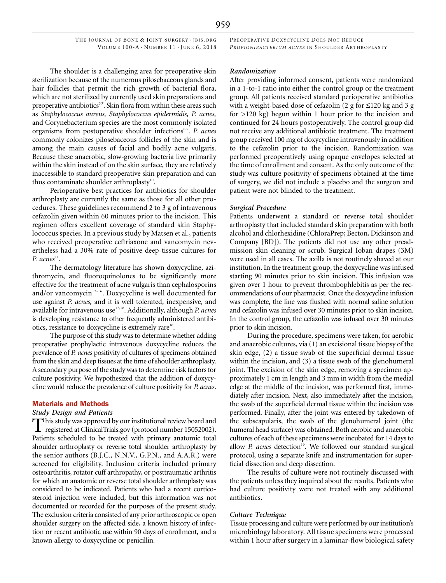THE JOURNAL OF BONE & JOINT SURGERY · JBJS.ORG VOLUME  $100-A \cdot N$ UMBER  $11 \cdot$  JUNE 6, 2018

The shoulder is a challenging area for preoperative skin sterilization because of the numerous pilosebaceous glands and hair follicles that permit the rich growth of bacterial flora, which are not sterilized by currently used skin preparations and preoperative antibiotics<sup>3,7</sup>. Skin flora from within these areas such as Staphylococcus aureus, Staphylococcus epidermidis, P. acnes, and Corynebacterium species are the most commonly isolated organisms from postoperative shoulder infections<sup>8,9</sup>. P. acnes commonly colonizes pilosebaceous follicles of the skin and is among the main causes of facial and bodily acne vulgaris. Because these anaerobic, slow-growing bacteria live primarily within the skin instead of on the skin surface, they are relatively inaccessible to standard preoperative skin preparation and can thus contaminate shoulder arthroplasty<sup>10</sup>.

Perioperative best practices for antibiotics for shoulder arthroplasty are currently the same as those for all other procedures. These guidelines recommend 2 to 3 g of intravenous cefazolin given within 60 minutes prior to the incision. This regimen offers excellent coverage of standard skin Staphylococcus species. In a previous study by Matsen et al., patients who received preoperative ceftriaxone and vancomycin nevertheless had a 30% rate of positive deep-tissue cultures for P.  $acnes<sup>11</sup>$ .

The dermatology literature has shown doxycycline, azithromycin, and fluoroquinolones to be significantly more effective for the treatment of acne vulgaris than cephalosporins and/or vancomycin $12-16$ . Doxycycline is well documented for use against P. acnes, and it is well tolerated, inexpensive, and available for intravenous use<sup>17,18</sup>. Additionally, although P. acnes is developing resistance to other frequently administered antibiotics, resistance to doxycycline is extremely rare<sup>16</sup>.

The purpose of this study was to determine whether adding preoperative prophylactic intravenous doxycycline reduces the prevalence of P. acnes positivity of cultures of specimens obtained from the skin and deep tissues at the time of shoulder arthroplasty. A secondary purpose of the study was to determine risk factors for culture positivity. We hypothesized that the addition of doxycycline would reduce the prevalence of culture positivity for P. acnes.

#### Materials and Methods

#### Study Design and Patients

This study was approved by our institutional review board and<br>registered at ClinicalTrials.gov (protocol number 15052002). Patients scheduled to be treated with primary anatomic total shoulder arthroplasty or reverse total shoulder arthroplasty by the senior authors (B.J.C., N.N.V., G.P.N., and A.A.R.) were screened for eligibility. Inclusion criteria included primary osteoarthritis, rotator cuff arthropathy, or posttraumatic arthritis for which an anatomic or reverse total shoulder arthroplasty was considered to be indicated. Patients who had a recent corticosteroid injection were included, but this information was not documented or recorded for the purposes of the present study. The exclusion criteria consisted of any prior arthroscopic or open shoulder surgery on the affected side, a known history of infection or recent antibiotic use within 90 days of enrollment, and a known allergy to doxycycline or penicillin.

PREOPERATIVE DOXYCYCLINE DOES NOT REDUCE PROPIONIBACTERIUM ACNES IN SHOULDER ARTHROPLASTY

#### Randomization

After providing informed consent, patients were randomized in a 1-to-1 ratio into either the control group or the treatment group. All patients received standard perioperative antibiotics with a weight-based dose of cefazolin  $(2 \text{ g for } \leq 120 \text{ kg and } 3 \text{ g})$ for >120 kg) begun within 1 hour prior to the incision and continued for 24 hours postoperatively. The control group did not receive any additional antibiotic treatment. The treatment group received 100 mg of doxycycline intravenously in addition to the cefazolin prior to the incision. Randomization was performed preoperatively using opaque envelopes selected at the time of enrollment and consent. As the only outcome of the study was culture positivity of specimens obtained at the time of surgery, we did not include a placebo and the surgeon and patient were not blinded to the treatment.

#### Surgical Procedure

Patients underwent a standard or reverse total shoulder arthroplasty that included standard skin preparation with both alcohol and chlorhexidine (ChloraPrep; Becton, Dickinson and Company [BD]). The patients did not use any other preadmission skin cleaning or scrub. Surgical Ioban drapes (3M) were used in all cases. The axilla is not routinely shaved at our institution. In the treatment group, the doxycycline was infused starting 90 minutes prior to skin incision. This infusion was given over 1 hour to prevent thrombophlebitis as per the recommendations of our pharmacist. Once the doxycycline infusion was complete, the line was flushed with normal saline solution and cefazolin was infused over 30 minutes prior to skin incision. In the control group, the cefazolin was infused over 30 minutes prior to skin incision.

During the procedure, specimens were taken, for aerobic and anaerobic cultures, via (1) an excisional tissue biopsy of the skin edge, (2) a tissue swab of the superficial dermal tissue within the incision, and (3) a tissue swab of the glenohumeral joint. The excision of the skin edge, removing a specimen approximately 1 cm in length and 3 mm in width from the medial edge at the middle of the incision, was performed first, immediately after incision. Next, also immediately after the incision, the swab of the superficial dermal tissue within the incision was performed. Finally, after the joint was entered by takedown of the subscapularis, the swab of the glenohumeral joint (the humeral head surface) was obtained. Both aerobic and anaerobic cultures of each of these specimens were incubated for 14 days to allow P. acnes detection<sup>19</sup>. We followed our standard surgical protocol, using a separate knife and instrumentation for superficial dissection and deep dissection.

The results of culture were not routinely discussed with the patients unless they inquired about the results. Patients who had culture positivity were not treated with any additional antibiotics.

# Culture Technique

Tissue processing and culture were performed by our institution's microbiology laboratory. All tissue specimens were processed within 1 hour after surgery in a laminar-flow biological safety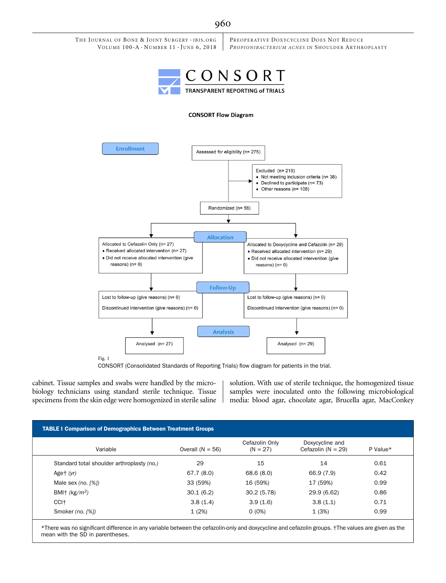

Fig. 1

CONSORT (Consolidated Standards of Reporting Trials) flow diagram for patients in the trial.

cabinet. Tissue samples and swabs were handled by the microbiology technicians using standard sterile technique. Tissue specimens from the skin edge were homogenized in sterile saline solution. With use of sterile technique, the homogenized tissue samples were inoculated onto the following microbiological media: blood agar, chocolate agar, Brucella agar, MacConkey

|                                            | <b>TABLE I Comparison of Demographics Between Treatment Groups</b> |                              |                                         |          |  |  |
|--------------------------------------------|--------------------------------------------------------------------|------------------------------|-----------------------------------------|----------|--|--|
| Variable                                   | Overall $(N = 56)$                                                 | Cefazolin Only<br>$(N = 27)$ | Doxycycline and<br>Cefazolin $(N = 29)$ | P Value* |  |  |
| Standard total shoulder arthroplasty (no.) | 29                                                                 | 15                           | 14                                      | 0.61     |  |  |
| Aget $(yr)$                                | 67.7(8.0)                                                          | 68.6(8.0)                    | 66.9 (7.9)                              | 0.42     |  |  |
| Male sex $(no. [%)$                        | 33 (59%)                                                           | 16 (59%)                     | 17 (59%)                                | 0.99     |  |  |
| BMI† $(kg/m^2)$                            | 30.1(6.2)                                                          | 30.2(5.78)                   | 29.9 (6.62)                             | 0.86     |  |  |
| CCI <sup>+</sup>                           | 3.8(1.4)                                                           | 3.9(1.6)                     | 3.8(1.1)                                | 0.71     |  |  |
| Smoker (no. [%])                           | 1(2%)                                                              | $0(0\%)$                     | 1(3%)                                   | 0.99     |  |  |

\*There was no significant difference in any variable between the cefazolin-only and doxycycline and cefazolin groups. †The values are given as the mean with the SD in parentheses.

# 960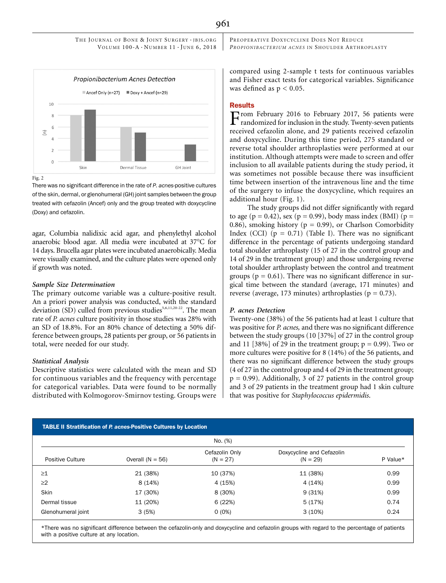

Fig. 2

There was no significant difference in the rate of P. acnes-positive cultures of the skin, dermal, or glenohumeral (GH) joint samples between the group treated with cefazolin (Ancef) only and the group treated with doxycycline (Doxy) and cefazolin.

agar, Columbia nalidixic acid agar, and phenylethyl alcohol anaerobic blood agar. All media were incubated at 37°C for 14 days. Brucella agar plates were incubated anaerobically. Media were visually examined, and the culture plates were opened only if growth was noted.

# Sample Size Determination

The primary outcome variable was a culture-positive result. An a priori power analysis was conducted, with the standard deviation (SD) culled from previous studies<sup>5,6,11,20-22</sup>. The mean rate of P. acnes culture positivity in those studies was 28% with an SD of 18.8%. For an 80% chance of detecting a 50% difference between groups, 28 patients per group, or 56 patients in total, were needed for our study.

#### Statistical Analysis

Descriptive statistics were calculated with the mean and SD for continuous variables and the frequency with percentage for categorical variables. Data were found to be normally distributed with Kolmogorov-Smirnov testing. Groups were PREOPERATIVE DOXYCYCLINE DOES NOT REDUCE PROPIONIBACTERIUM ACNES IN SHOULDER ARTHROPLASTY

compared using 2-sample t tests for continuous variables and Fisher exact tests for categorical variables. Significance was defined as  $p < 0.05$ .

#### **Results**

From February 2016 to February 2017, 56 patients were randomized for inclusion in the study. Twenty-seven patients received cefazolin alone, and 29 patients received cefazolin and doxycycline. During this time period, 275 standard or reverse total shoulder arthroplasties were performed at our institution. Although attempts were made to screen and offer inclusion to all available patients during the study period, it was sometimes not possible because there was insufficient time between insertion of the intravenous line and the time of the surgery to infuse the doxycycline, which requires an additional hour (Fig. 1).

The study groups did not differ significantly with regard to age ( $p = 0.42$ ), sex ( $p = 0.99$ ), body mass index (BMI) ( $p =$ 0.86), smoking history ( $p = 0.99$ ), or Charlson Comorbidity Index (CCI)  $(p = 0.71)$  (Table I). There was no significant difference in the percentage of patients undergoing standard total shoulder arthroplasty (15 of 27 in the control group and 14 of 29 in the treatment group) and those undergoing reverse total shoulder arthroplasty between the control and treatment groups ( $p = 0.61$ ). There was no significant difference in surgical time between the standard (average, 171 minutes) and reverse (average, 173 minutes) arthroplasties ( $p = 0.73$ ).

#### P. acnes Detection

Twenty-one (38%) of the 56 patients had at least 1 culture that was positive for P. acnes, and there was no significant difference between the study groups (10 [37%] of 27 in the control group and 11 [38%] of 29 in the treatment group;  $p = 0.99$ ). Two or more cultures were positive for 8 (14%) of the 56 patients, and there was no significant difference between the study groups (4 of 27 in the control group and 4 of 29 in the treatment group;  $p = 0.99$ ). Additionally, 3 of 27 patients in the control group and 3 of 29 patients in the treatment group had 1 skin culture that was positive for Staphylococcus epidermidis.

|                    | <b>TABLE II Stratification of P. acnes-Positive Cultures by Location</b> |                              |                                         |          |  |
|--------------------|--------------------------------------------------------------------------|------------------------------|-----------------------------------------|----------|--|
|                    | No. (%)                                                                  |                              |                                         |          |  |
| Positive Culture   | Overall $(N = 56)$                                                       | Cefazolin Only<br>$(N = 27)$ | Doxycycline and Cefazolin<br>$(N = 29)$ | P Value* |  |
| $\geq$ 1           | 21 (38%)                                                                 | 10 (37%)                     | 11 (38%)                                | 0.99     |  |
| $\geq$ 2           | 8 (14%)                                                                  | 4 (15%)                      | 4 (14%)                                 | 0.99     |  |
| Skin               | 17 (30%)                                                                 | 8 (30%)                      | 9(31%)                                  | 0.99     |  |
| Dermal tissue      | 11 (20%)                                                                 | 6 (22%)                      | 5(17%)                                  | 0.74     |  |
| Glenohumeral joint | 3(5%)                                                                    | $0(0\%)$                     | 3(10%)                                  | 0.24     |  |

\*There was no significant difference between the cefazolin-only and doxycycline and cefazolin groups with regard to the percentage of patients with a positive culture at any location.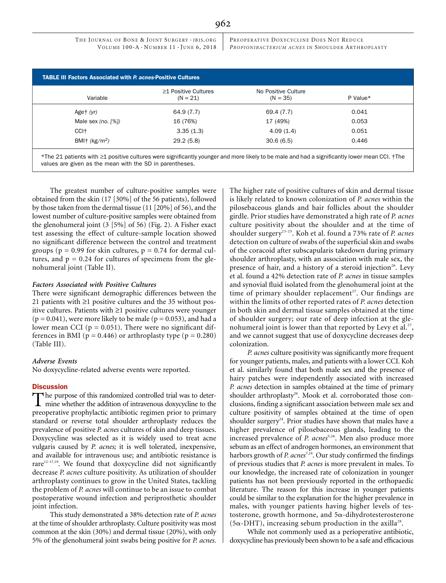THE JOURNAL OF BONE & JOINT SURGERY · JBJS.ORG VOLUME  $100-A \cdot N$ UMBER  $11 \cdot$  JUNE 6, 2018 PREOPERATIVE DOXYCYCLINE DOES NOT REDUCE PROPIONIBACTERIUM ACNES IN SHOULDER ARTHROPLASTY

|                       | $\geq$ 1 Positive Cultures | No Positive Culture |          |
|-----------------------|----------------------------|---------------------|----------|
| Variable              | $(N = 21)$                 | $(N = 35)$          | P Value* |
| Aget $(yr)$           | 64.9 (7.7)                 | 69.4 (7.7)          | 0.041    |
| Male sex (no. $[%]$ ) | 16 (76%)                   | 17 (49%)            | 0.053    |
| CCI <sup>+</sup>      | 3.35(1.3)                  | 4.09(1.4)           | 0.051    |
| BMI† $(kg/m^2)$       | 29.2(5.8)                  | 30.6(6.5)           | 0.446    |

\*The 21 patients with ≥1 positive cultures were significantly younger and more likely to be male and had a significantly lower mean CCI. †The values are given as the mean with the SD in parentheses.

The greatest number of culture-positive samples were obtained from the skin (17 [30%] of the 56 patients), followed by those taken from the dermal tissue (11 [20%] of 56), and the lowest number of culture-positive samples were obtained from the glenohumeral joint (3 [5%] of 56) (Fig. 2). A Fisher exact test assessing the effect of culture-sample location showed no significant difference between the control and treatment groups ( $p = 0.99$  for skin cultures,  $p = 0.74$  for dermal cultures, and  $p = 0.24$  for cultures of specimens from the glenohumeral joint (Table II).

# Factors Associated with Positive Cultures

There were significant demographic differences between the 21 patients with  $\geq$ 1 positive cultures and the 35 without positive cultures. Patients with  $\geq 1$  positive cultures were younger  $(p = 0.041)$ , were more likely to be male  $(p = 0.053)$ , and had a lower mean CCI ( $p = 0.051$ ). There were no significant differences in BMI ( $p = 0.446$ ) or arthroplasty type ( $p = 0.280$ ) (Table III).

#### Adverse Events

No doxycycline-related adverse events were reported.

#### **Discussion**

The purpose of this randomized controlled trial was to deter- $\perp$  mine whether the addition of intravenous doxycycline to the preoperative prophylactic antibiotic regimen prior to primary standard or reverse total shoulder arthroplasty reduces the prevalence of positive P. acnes cultures of skin and deep tissues. Doxycycline was selected as it is widely used to treat acne vulgaris caused by P. acnes; it is well tolerated, inexpensive, and available for intravenous use; and antibiotic resistance is rare $12-17,19$ . We found that doxycycline did not significantly decrease P. acnes culture positivity. As utilization of shoulder arthroplasty continues to grow in the United States, tackling the problem of P. acnes will continue to be an issue to combat postoperative wound infection and periprosthetic shoulder joint infection.

This study demonstrated a 38% detection rate of P. acnes at the time of shoulder arthroplasty. Culture positivity was most common at the skin (30%) and dermal tissue (20%), with only 5% of the glenohumeral joint swabs being positive for P. acnes. The higher rate of positive cultures of skin and dermal tissue is likely related to known colonization of P. acnes within the pilosebaceous glands and hair follicles about the shoulder girdle. Prior studies have demonstrated a high rate of P. acnes culture positivity about the shoulder and at the time of shoulder surgery<sup>23-25</sup>. Koh et al. found a 73% rate of P. acnes detection on culture of swabs of the superficial skin and swabs of the coracoid after subscapularis takedown during primary shoulder arthroplasty, with an association with male sex, the presence of hair, and a history of a steroid injection<sup>26</sup>. Levy et al. found a 42% detection rate of P. acnes in tissue samples and synovial fluid isolated from the glenohumeral joint at the time of primary shoulder replacement<sup>27</sup>. Our findings are within the limits of other reported rates of P. acnes detection in both skin and dermal tissue samples obtained at the time of shoulder surgery; our rate of deep infection at the glenohumeral joint is lower than that reported by Levy et al.<sup>27</sup>, and we cannot suggest that use of doxycycline decreases deep colonization.

P. acnes culture positivity was significantly more frequent for younger patients, males, and patients with a lower CCI. Koh et al. similarly found that both male sex and the presence of hairy patches were independently associated with increased P. acnes detection in samples obtained at the time of primary shoulder arthroplasty<sup>26</sup>. Mook et al. corroborated those conclusions, finding a significant association between male sex and culture positivity of samples obtained at the time of open shoulder surgery<sup>24</sup>. Prior studies have shown that males have a higher prevalence of pilosebaceous glands, leading to the increased prevalence of P. acnes<sup>5,26</sup>. Men also produce more sebum as an effect of androgen hormones, an environment that harbors growth of P. acnes<sup>7,24</sup>. Our study confirmed the findings of previous studies that P. acnes is more prevalent in males. To our knowledge, the increased rate of colonization in younger patients has not been previously reported in the orthopaedic literature. The reason for this increase in younger patients could be similar to the explanation for the higher prevalence in males, with younger patients having higher levels of testosterone, growth hormone, and 5a-dihydrotesterosterone  $(5\alpha$ -DHT), increasing sebum production in the axilla<sup>28</sup>.

While not commonly used as a perioperative antibiotic, doxycycline has previously been shown to be a safe and efficacious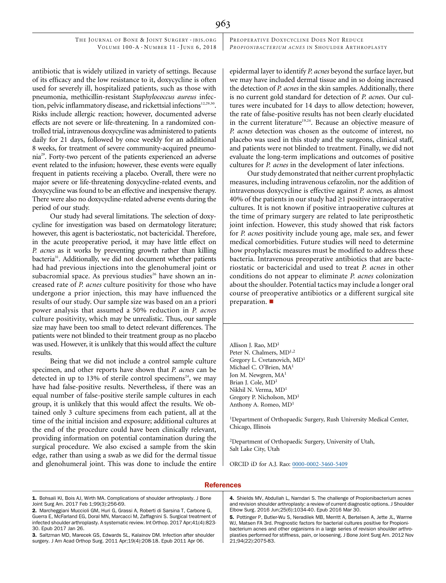963

antibiotic that is widely utilized in variety of settings. Because of its efficacy and the low resistance to it, doxycycline is often used for severely ill, hospitalized patients, such as those with pneumonia, methicillin-resistant Staphylococcus aureus infection, pelvic inflammatory disease, and rickettsial infections<sup>12,29,30</sup>. Risks include allergic reaction; however, documented adverse effects are not severe or life-threatening. In a randomized controlled trial, intravenous doxycycline was administered to patients daily for 21 days, followed by once weekly for an additional 8 weeks, for treatment of severe community-acquired pneumonia29. Forty-two percent of the patients experienced an adverse event related to the infusion; however, these events were equally frequent in patients receiving a placebo. Overall, there were no major severe or life-threatening doxycycline-related events, and doxycycline was found to be an effective and inexpensive therapy. There were also no doxycycline-related adverse events during the period of our study.

Our study had several limitations. The selection of doxycycline for investigation was based on dermatology literature; however, this agent is bacteriostatic, not bactericidal. Therefore, in the acute preoperative period, it may have little effect on P. acnes as it works by preventing growth rather than killing bacteria<sup>31</sup>. Additionally, we did not document whether patients had had previous injections into the glenohumeral joint or subacromial space. As previous studies<sup>26</sup> have shown an increased rate of P. acnes culture positivity for those who have undergone a prior injection, this may have influenced the results of our study. Our sample size was based on an a priori power analysis that assumed a 50% reduction in P. acnes culture positivity, which may be unrealistic. Thus, our sample size may have been too small to detect relevant differences. The patients were not blinded to their treatment group as no placebo was used. However, it is unlikely that this would affect the culture results.

Being that we did not include a control sample culture specimen, and other reports have shown that P. acnes can be detected in up to 13% of sterile control specimens<sup>24</sup>, we may have had false-positive results. Nevertheless, if there was an equal number of false-positive sterile sample cultures in each group, it is unlikely that this would affect the results. We obtained only 3 culture specimens from each patient, all at the time of the initial incision and exposure; additional cultures at the end of the procedure could have been clinically relevant, providing information on potential contamination during the surgical procedure. We also excised a sample from the skin edge, rather than using a swab as we did for the dermal tissue and glenohumeral joint. This was done to include the entire epidermal layer to identify P. acnes beyond the surface layer, but we may have included dermal tissue and in so doing increased the detection of P. acnes in the skin samples. Additionally, there is no current gold standard for detection of P. acnes. Our cultures were incubated for 14 days to allow detection; however, the rate of false-positive results has not been clearly elucidated in the current literature<sup>19,24</sup>. Because an objective measure of P. acnes detection was chosen as the outcome of interest, no placebo was used in this study and the surgeons, clinical staff, and patients were not blinded to treatment. Finally, we did not evaluate the long-term implications and outcomes of positive cultures for P. acnes in the development of later infections.

Our study demonstrated that neither current prophylactic measures, including intravenous cefazolin, nor the addition of intravenous doxycycline is effective against P. acnes, as almost  $40\%$  of the patients in our study had  $\geq 1$  positive intraoperative cultures. It is not known if positive intraoperative cultures at the time of primary surgery are related to late periprosthetic joint infection. However, this study showed that risk factors for P. acnes positivity include young age, male sex, and fewer medical comorbidities. Future studies will need to determine how prophylactic measures must be modified to address these bacteria. Intravenous preoperative antibiotics that are bacteriostatic or bactericidal and used to treat P. acnes in other conditions do not appear to eliminate P. acnes colonization about the shoulder. Potential tactics may include a longer oral course of preoperative antibiotics or a different surgical site preparation.  $\blacksquare$ 

Allison J. Rao, MD1 Peter N. Chalmers, MD<sup>1,2</sup> Gregory L. Cvetanovich, MD<sup>1</sup> Michael C. O'Brien, MA1 Jon M. Newgren, MA1 Brian J. Cole, MD<sup>1</sup> Nikhil N. Verma, MD<sup>1</sup> Gregory P. Nicholson, MD<sup>1</sup> Anthony A. Romeo, MD<sup>1</sup>

<sup>1</sup>Department of Orthopaedic Surgery, Rush University Medical Center, Chicago, Illinois

2 Department of Orthopaedic Surgery, University of Utah, Salt Lake City, Utah

ORCID iD for A.J. Rao: 0000-0002-3460-5409

# **References**

- 1. Bohsali KI, Bois AJ, Wirth MA. Complications of shoulder arthroplasty. J Bone Joint Surg Am. 2017 Feb 1;99(3):256-69.
- 2. Marcheggiani Muccioli GM, Huri G, Grassi A, Roberti di Sarsina T, Carbone G, Guerra E, McFarland EG, Doral MN, Marcacci M, Zaffagnini S. Surgical treatment of infected shoulder arthroplasty. A systematic review. Int Orthop. 2017 Apr;41(4):823- 30. Epub 2017 Jan 26.
- 3. Saltzman MD, Marecek GS, Edwards SL, Kalainov DM. Infection after shoulder surgery. J Am Acad Orthop Surg. 2011 Apr;19(4):208-18. Epub 2011 Apr 06.

4. Shields MV, Abdullah L, Namdari S. The challenge of Propionibacterium acnes and revision shoulder arthroplasty: a review of current diagnostic options. J Shoulder Elbow Surg. 2016 Jun;25(6):1034-40. Epub 2016 Mar 30.

5. Pottinger P, Butler-Wu S, Neradilek MB, Merritt A, Bertelsen A, Jette JL, Warme WJ, Matsen FA 3rd. Prognostic factors for bacterial cultures positive for Propionibacterium acnes and other organisms in a large series of revision shoulder arthroplasties performed for stiffness, pain, or loosening. J Bone Joint Surg Am. 2012 Nov 21;94(22):2075-83.